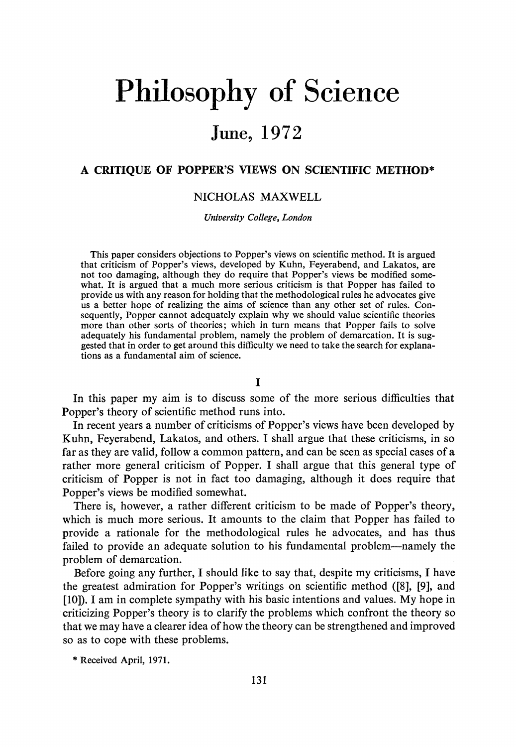# **Philosophy of Science**

# **June, 1972**

#### **A CRITIQUE OF POPPER'S VIEWS ON SCIENTIFIC METHOD\***

# **NICHOLAS MAXWELL**

**University College, London** 

**This paper considers objections to Popper's views on scientific method. It is argued that criticism of Popper's views, developed by Kuhn, Feyerabend, and Lakatos, are not too damaging, although they do require that Popper's views be modified somewhat. It is argued that a much more serious criticism is that Popper has failed to provide us with any reason for holding that the methodological rules he advocates give us a better hope of realizing the aims of science than any other set of rules. Consequently, Popper cannot adequately explain why we should value scientific theories more than other sorts of theories; which in turn means that Popper fails to solve adequately his fundamental problem, namely the problem of demarcation. It is suggested that in order to get around this difficulty we need to take the search for explanations as a fundamental aim of science.** 

т

**In this paper my aim is to discuss some of the more serious difficulties that Popper's theory of scientific method runs into.** 

**In recent years a number of criticisms of Popper's views have been developed by Kuhn, Feyerabend, Lakatos, and others. I shall argue that these criticisms, in so far as they are valid, follow a common pattern, and can be seen as special cases of a rather more general criticism of Popper. I shall argue that this general type of criticism of Popper is not in fact too damaging, although it does require that Popper's views be modified somewhat.** 

**There is, however, a rather different criticism to be made of Popper's theory, which is much more serious. It amounts to the claim that Popper has failed to provide a rationale for the methodological rules he advocates, and has thus failed to provide an adequate solution to his fundamental problem-namely the problem of demarcation.** 

**Before going any further, I should like to say that, despite my criticisms, I have the greatest admiration for Popper's writings on scientific method ([8], [9], and [10]). I am in complete sympathy with his basic intentions and values. My hope in criticizing Popper's theory is to clarify the problems which confront the theory so that we may have a clearer idea of how the theory can be strengthened and improved so as to cope with these problems.** 

**\* Received April, 1971.**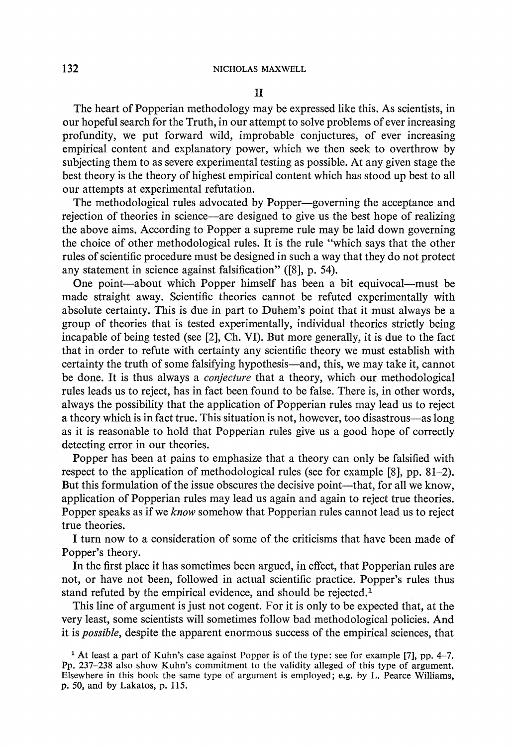**The heart of Popperian methodology may be expressed like this. As scientists, in our hopeful search for the Truth, in our attempt to solve problems of ever increasing profundity, we put forward wild, improbable conjuctures, of ever increasing empirical content and explanatory power, which we then seek to overthrow by subjecting them to as severe experimental testing as possible. At any given stage the best theory is the theory of highest empirical content which has stood up best to all our attempts at experimental refutation.** 

**The methodological rules advocated by Popper-governing the acceptance and rejection of theories in science-are designed to give us the best hope of realizing the above aims. According to Popper a supreme rule may be laid down governing the choice of other methodological rules. It is the rule "which says that the other rules of scientific procedure must be designed in such a way that they do not protect any statement in science against falsification" ([8], p. 54).** 

**One point-about which Popper himself has been a bit equivocal-must be made straight away. Scientific theories cannot be refuted experimentally with absolute certainty. This is due in part to Duhem's point that it must always be a group of theories that is tested experimentally, individual theories strictly being incapable of being tested (see [2], Ch. VI). But more generally, it is due to the fact that in order to refute with certainty any scientific theory we must establish with**  certainty the truth of some falsifying hypothesis—and, this, we may take it, cannot **be done. It is thus always a conjecture that a theory, which our methodological rules leads us to reject, has in fact been found to be false. There is, in other words, always the possibility that the application of Popperian rules may lead us to reject a theory which is in fact true. This situation is not, however, too disastrous-as long as it is reasonable to hold that Popperian rules give us a good hope of correctly detecting error in our theories.** 

**Popper has been at pains to emphasize that a theory can only be falsified with respect to the application of methodological rules (see for example [8], pp. 81-2).**  But this formulation of the issue obscures the decisive point—that, for all we know, **application of Popperian rules may lead us again and again to reject true theories. Popper speaks as if we know somehow that Popperian rules cannot lead us to reject true theories.** 

**I turn now to a consideration of some of the criticisms that have been made of Popper's theory.** 

**In the first place it has sometimes been argued, in effect, that Popperian rules are not, or have not been, followed in actual scientific practice. Popper's rules thus**  stand refuted by the empirical evidence, and should be rejected.<sup>1</sup>

**This line of argument is just not cogent. For it is only to be expected that, at the very least, some scientists will sometimes follow bad methodological policies. And it is possible, despite the apparent enormous success of the empirical sciences, that** 

**<sup>1</sup> At least a part of Kuhn's case against Popper is of the type: see for example [7], pp. 4-7. Pp. 237-238 also show Kuhn's commitment to the validity alleged of this type of argument. Elsewhere in this book the same type of argument is employed; e.g. by L. Pearce Williams, p. 50, and by Lakatos, p. 115.**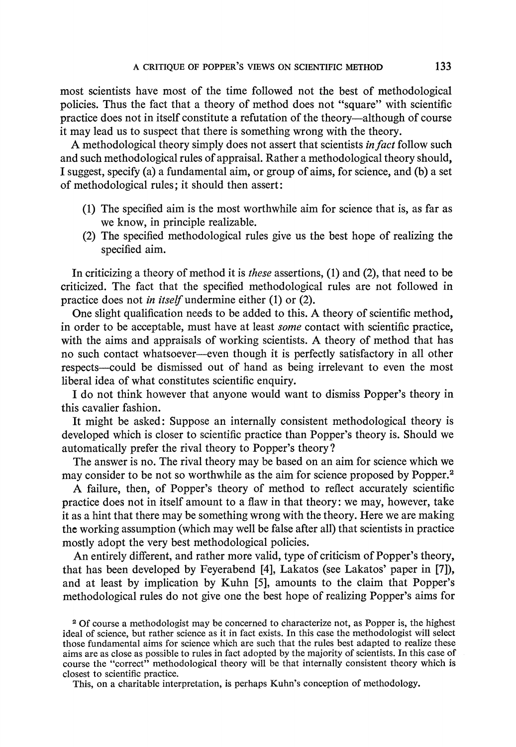**most scientists have most of the time followed not the best of methodological policies. Thus the fact that a theory of method does not "square" with scientific practice does not in itself constitute a refutation of the theory-although of course it may lead us to suspect that there is something wrong with the theory.** 

**A methodological theory simply does not assert that scientists in fact follow such and such methodological rules of appraisal. Rather a methodological theory should, I suggest, specify (a) a fundamental aim, or group of aims, for science, and (b) a set of methodological rules; it should then assert:** 

- **(1) The specified aim is the most worthwhile aim for science that is, as far as we know, in principle realizable.**
- **(2) The specified methodological rules give us the best hope of realizing the specified aim.**

**In criticizing a theory of method it is these assertions, (1) and (2), that need to be criticized. The fact that the specified methodological rules are not followed in**  practice does not *in itself* undermine either (1) or (2).

**One slight qualification needs to be added to this. A theory of scientific method, in order to be acceptable, must have at least some contact with scientific practice, with the aims and appraisals of working scientists. A theory of method that has no such contact whatsoever-even though it is perfectly satisfactory in all other respects-could be dismissed out of hand as being irrelevant to even the most liberal idea of what constitutes scientific enquiry.** 

**I do not think however that anyone would want to dismiss Popper's theory in this cavalier fashion.** 

**It might be asked: Suppose an internally consistent methodological theory is developed which is closer to scientific practice than Popper's theory is. Should we automatically prefer the rival theory to Popper's theory?** 

**The answer is no. The rival theory may be based on an aim for science which we may consider to be not so worthwhile as the aim for science proposed by Popper.2** 

**A failure, then, of Popper's theory of method to reflect accurately scientific practice does not in itself amount to a flaw in that theory: we may, however, take it as a hint that there may be something wrong with the theory. Here we are making the working assumption (which may well be false after all) that scientists in practice mostly adopt the very best methodological policies.** 

**An entirely different, and rather more valid, type of criticism of Popper's theory, that has been developed by Feyerabend [4], Lakatos (see Lakatos' paper in [7]), and at least by implication by Kuhn [5], amounts to the claim that Popper's methodological rules do not give one the best hope of realizing Popper's aims for** 

**This, on a charitable interpretation, is perhaps Kuhn's conception of methodology.** 

**<sup>2</sup>Of course a methodologist may be concerned to characterize not, as Popper is, the highest ideal of science, but rather science as it in fact exists. In this case the methodologist will select those fundamental aims for science which are such that the rules best adapted to realize these aims are as close as possible to rules in fact adopted by the majority of scientists. In this case of course the "correct" methodological theory will be that internally consistent theory which is closest to scientific practice.**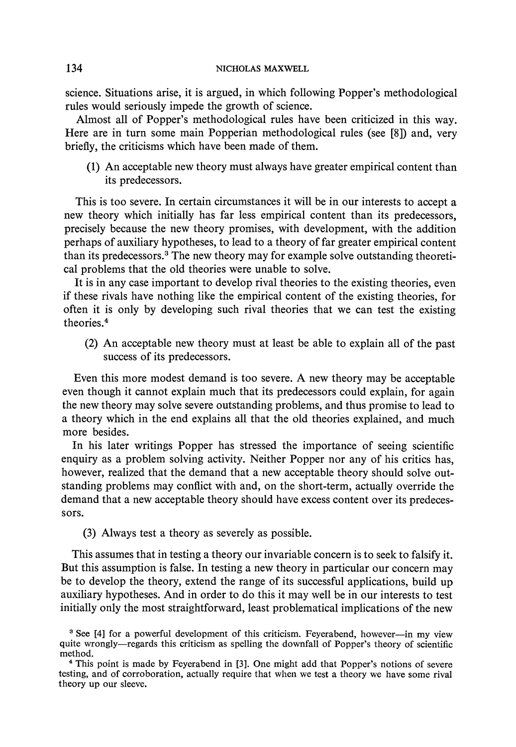**science. Situations arise, it is argued, in which following Popper's methodological rules would seriously impede the growth of science.** 

**Almost all of Popper's methodological rules have been criticized in this way. Here are in turn some main Popperian methodological rules (see [8]) and, very briefly, the criticisms which have been made of them.** 

**(1) An acceptable new theory must always have greater empirical content than its predecessors.** 

**This is too severe. In certain circumstances it will be in our interests to accept a new theory which initially has far less empirical content than its predecessors, precisely because the new theory promises, with development, with the addition perhaps of auxiliary hypotheses, to lead to a theory of far greater empirical content than its predecessors.3 The new theory may for example solve outstanding theoretical problems that the old theories were unable to solve.** 

**It is in any case important to develop rival theories to the existing theories, even if these rivals have nothing like the empirical content of the existing theories, for often it is only by developing such rival theories that we can test the existing theories.4** 

**(2) An acceptable new theory must at least be able to explain all of the past success of its predecessors.** 

**Even this more modest demand is too severe. A new theory may be acceptable even though it cannot explain much that its predecessors could explain, for again the new theory may solve severe outstanding problems, and thus promise to lead to a theory which in the end explains all that the old theories explained, and much more besides.** 

**In his later writings Popper has stressed the importance of seeing scientific enquiry as a problem solving activity. Neither Popper nor any of his critics has, however, realized that the demand that a new acceptable theory should solve outstanding problems may conflict with and, on the short-term, actually override the demand that a new acceptable theory should have excess content over its predecessors.** 

**(3) Always test a theory as severely as possible.** 

**This assumes that in testing a theory our invariable concern is to seek to falsify it. But this assumption is false. In testing a new theory in particular our concern may be to develop the theory, extend the range of its successful applications, build up auxiliary hypotheses. And in order to do this it may well be in our interests to test initially only the most straightforward, least problematical implications of the new** 

**<sup>3</sup> See [4] for a powerful development of this criticism. Feyerabend, however-in my view quite wrongly-regards this criticism as spelling the downfall of Popper's theory of scientific** 

<sup>&</sup>lt;sup>4</sup> This point is made by Feyerabend in [3]. One might add that Popper's notions of severe **testing, and of corroboration, actually require that when we test a theory we have some rival theory up our sleeve.**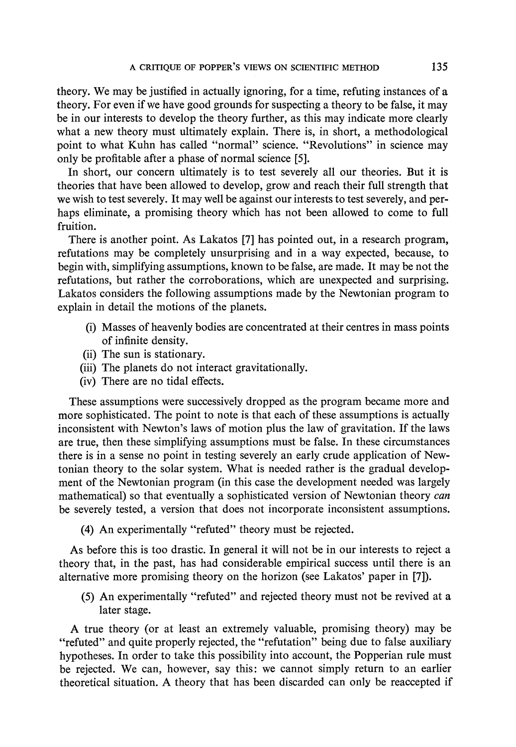**theory. We may be justified in actually ignoring, for a time, refuting instances of a theory. For even if we have good grounds for suspecting a theory to be false, it may be in our interests to develop the theory further, as this may indicate more clearly what a new theory must ultimately explain. There is, in short, a methodological point to what Kuhn has called "normal" science. "Revolutions" in science may only be profitable after a phase of normal science [5].** 

**In short, our concern ultimately is to test severely all our theories. But it is theories that have been allowed to develop, grow and reach their full strength that we wish to test severely. It may well be against our interests to test severely, and perhaps eliminate, a promising theory which has not been allowed to come to full fruition.** 

**There is another point. As Lakatos [7] has pointed out, in a research program, refutations may be completely unsurprising and in a way expected, because, to begin with, simplifying assumptions, known to be false, are made. It may be not the refutations, but rather the corroborations, which are unexpected and surprising. Lakatos considers the following assumptions made by the Newtonian program to explain in detail the motions of the planets.** 

- **(i) Masses of heavenly bodies are concentrated at their centres in mass points of infinite density.**
- **(ii) The sun is stationary.**
- **(iii) The planets do not interact gravitationally.**
- **(iv) There are no tidal effects.**

**These assumptions were successively dropped as the program became more and more sophisticated. The point to note is that each of these assumptions is actually inconsistent with Newton's laws of motion plus the law of gravitation. If the laws are true, then these simplifying assumptions must be false. In these circumstances there is in a sense no point in testing severely an early crude application of Newtonian theory to the solar system. What is needed rather is the gradual development of the Newtonian program (in this case the development needed was largely mathematical) so that eventually a sophisticated version of Newtonian theory can be severely tested, a version that does not incorporate inconsistent assumptions.** 

**(4) An experimentally "refuted" theory must be rejected.** 

**As before this is too drastic. In general it will not be in our interests to reject a theory that, in the past, has had considerable empirical success until there is an alternative more promising theory on the horizon (see Lakatos' paper in [7]).** 

**(5) An experimentally "refuted" and rejected theory must not be revived at a later stage.** 

**A true theory (or at least an extremely valuable, promising theory) may be "refuted" and quite properly rejected, the "refutation" being due to false auxiliary hypotheses. In order to take this possibility into account, the Popperian rule must be rejected. We can, however, say this: we cannot simply return to an earlier theoretical situation. A theory that has been discarded can only be reaccepted if**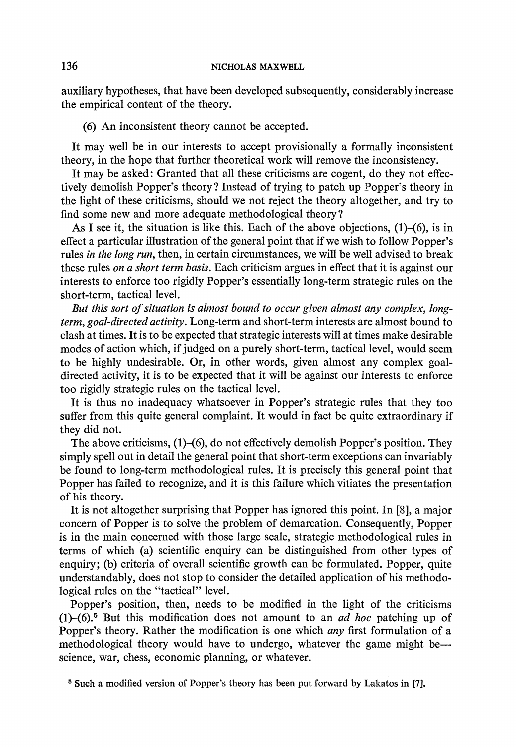**auxiliary hypotheses, that have been developed subsequently, considerably increase the empirical content of the theory.** 

**(6) An inconsistent theory cannot be accepted.** 

**It may well be in our interests to accept provisionally a formally inconsistent theory, in the hope that further theoretical work will remove the inconsistency.** 

**It may be asked: Granted that all these criticisms are cogent, do they not effectively demolish Popper's theory? Instead of trying to patch up Popper's theory in the light of these criticisms, should we not reject the theory altogether, and try to find some new and more adequate methodological theory?** 

**As I see it, the situation is like this. Each of the above objections, (l)-(6), is in effect a particular illustration of the general point that if we wish to follow Popper's rules in the long run, then, in certain circumstances, we will be well advised to break these rules on a short term basis. Each criticism argues in effect that it is against our interests to enforce too rigidly Popper's essentially long-term strategic rules on the short-term, tactical level.** 

**But this sort of situation is almost bound to occur given almost any complex, longterm, goal-directed activity. Long-term and short-term interests are almost bound to clash at times. It is to be expected that strategic interests will at times make desirable modes of action which, if judged on a purely short-term, tactical level, would seem to be highly undesirable. Or, in other words, given almost any complex goaldirected activity, it is to be expected that it will be against our interests to enforce too rigidly strategic rules on the tactical level.** 

**It is thus no inadequacy whatsoever in Popper's strategic rules that they too suffer from this quite general complaint. It would in fact be quite extraordinary if they did not.** 

**The above criticisms, (l)-(6), do not effectively demolish Popper's position. They simply spell out in detail the general point that short-term exceptions can invariably be found to long-term methodological rules. It is precisely this general point that Popper has failed to recognize, and it is this failure which vitiates the presentation of his theory.** 

**It is not altogether surprising that Popper has ignored this point. In [8], a major concern of Popper is to solve the problem of demarcation. Consequently, Popper is in the main concerned with those large scale, strategic methodological rules in terms of which (a) scientific enquiry can be distinguished from other types of enquiry; (b) criteria of overall scientific growth can be formulated. Popper, quite understandably, does not stop to consider the detailed application of his methodological rules on the "tactical" level.** 

**Popper's position, then, needs to be modified in the light of the criticisms (l)-(6).5 But this modification does not amount to an ad hoc patching up of Popper's theory. Rather the modification is one which any first formulation of a**  methodological theory would have to undergo, whatever the game might be **science, war, chess, economic planning, or whatever.** 

**<sup>5</sup> Such a modified version of Popper's theory has been put forward by Lakatos in [7].**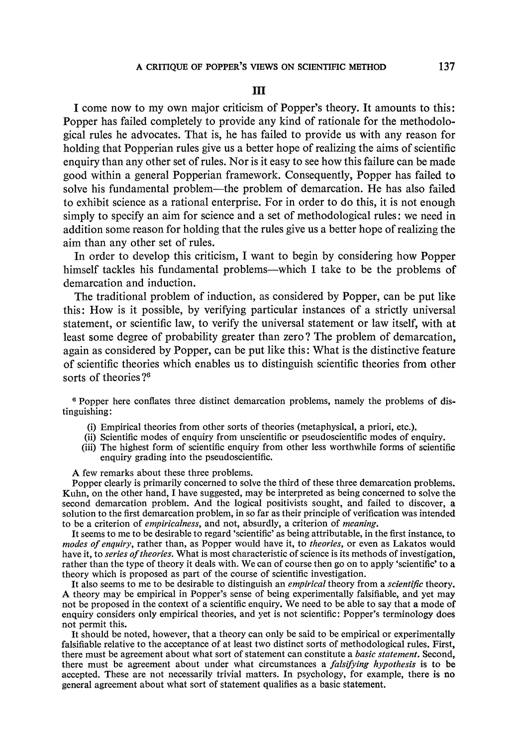**I come now to my own major criticism of Popper's theory. It amounts to this: Popper has failed completely to provide any kind of rationale for the methodological rules he advocates. That is, he has failed to provide us with any reason for holding that Popperian rules give us a better hope of realizing the aims of scientific enquiry than any other set of rules. Nor is it easy to see how this failure can be made good within a general Popperian framework. Consequently, Popper has failed to solve his fundamental problem-the problem of demarcation. He has also failed to exhibit science as a rational enterprise. For in order to do this, it is not enough simply to specify an aim for science and a set of methodological rules: we need in addition some reason for holding that the rules give us a better hope of realizing the aim than any other set of rules.** 

**In order to develop this criticism, I want to begin by considering how Popper himself tackles his fundamental problems-which I take to be the problems of demarcation and induction.** 

**The traditional problem of induction, as considered by Popper, can be put like this: How is it possible, by verifying particular instances of a strictly universal statement, or scientific law, to verify the universal statement or law itself, with at least some degree of probability greater than zero? The problem of demarcation, again as considered by Popper, can be put like this: What is the distinctive feature of scientific theories which enables us to distinguish scientific theories from other sorts of theories ?6** 

**6 Popper here conflates three distinct demarcation problems, namely the problems of distinguishing:** 

- **(i) Empirical theories from other sorts of theories (metaphysical, a priori, etc.).**
- **(ii) Scientific modes of enquiry from unscientific or pseudoscientific modes of enquiry.**
- **(iii) The highest form of scientific enquiry from other less worthwhile forms of scientific enquiry grading into the pseudoscientific.**

**A few remarks about these three problems.** 

**Popper clearly is primarily concerned to solve the third of these three demarcation problems. Kuhn, on the other hand, I have suggested, may be interpreted as being concerned to solve the second demarcation problem. And the logical positivists sought, and failed to discover, a solution to the first demarcation problem, in so far as their principle of verification was intended to be a criterion of empiricalness, and not, absurdly, a criterion of meaning.** 

**It seems to me to be desirable to regard 'scientific' as being attributable, in the first instance, to modes of enquiry, rather than, as Popper would have it, to theories, or even as Lakatos would have it, to series of theories. What is most characteristic of science is its methods of investigation, rather than the type of theory it deals with. We can of course then go on to apply 'scientific' to a theory which is proposed as part of the course of scientific investigation.** 

**It also seems to me to be desirable to distinguish an empirical theory from a scientific theory. A theory may be empirical in Popper's sense of being experimentally falsifiable, and yet may not be proposed in the context of a scientific enquiry. We need to be able to say that a mode of enquiry considers only empirical theories, and yet is not scientific: Popper's terminology does not permit this.** 

**It should be noted, however, that a theory can only be said to be empirical or experimentally falsifiable relative to the acceptance of at least two distinct sorts of methodological rules. First, there must be agreement about what sort of statement can constitute a basic statement. Second, there must be agreement about under what circumstances a falsifying hypothesis is to be accepted. These are not necessarily trivial matters. In psychology, for example, there is no general agreement about what sort of statement qualifies as a basic statement.**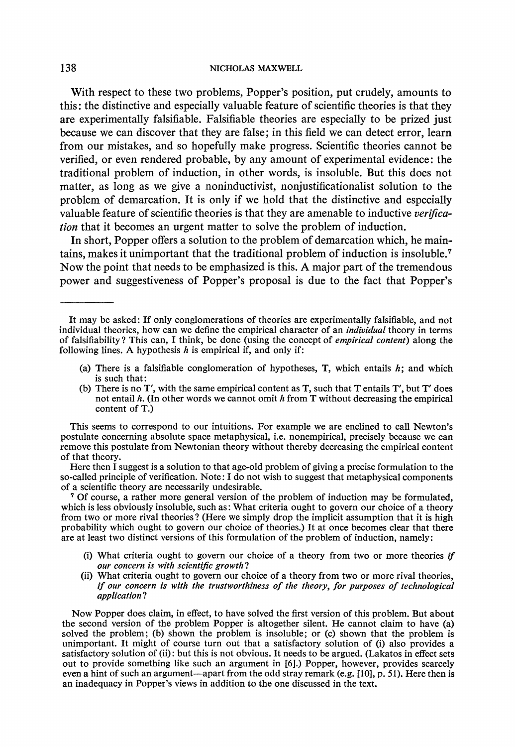**With respect to these two problems, Popper's position, put crudely, amounts to this: the distinctive and especially valuable feature of scientific theories is that they are experimentally falsifiable. Falsifiable theories are especially to be prized just because we can discover that they are false; in this field we can detect error, learn from our mistakes, and so hopefully make progress. Scientific theories cannot be verified, or even rendered probable, by any amount of experimental evidence: the traditional problem of induction, in other words, is insoluble. But this does not matter, as long as we give a noninductivist, nonjustificationalist solution to the problem of demarcation. It is only if we hold that the distinctive and especially**  valuable feature of scientific theories is that they are amenable to inductive *verifica***tion that it becomes an urgent matter to solve the problem of induction.** 

**In short, Popper offers a solution to the problem of demarcation which, he maintains, makes it unimportant that the traditional problem of induction is insoluble.7 Now the point that needs to be emphasized is this. A major part of the tremendous power and suggestiveness of Popper's proposal is due to the fact that Popper's** 

- **(a) There is a falsifiable conglomeration of hypotheses, T, which entails h; and which is such that:**
- **(b) There is no T', with the same empirical content as T, such that T entails T', but T' does not entail h. (In other words we cannot omit h from T without decreasing the empirical content of T.)**

**This seems to correspond to our intuitions. For example we are enclined to call Newton's postulate concerning absolute space metaphysical, i.e. nonempirical, precisely because we can remove this postulate from Newtonian theory without thereby decreasing the empirical content of that theory.** 

**Here then I suggest is a solution to that age-old problem of giving a precise formulation to the so-called principle of verification. Note: I do not wish to suggest that metaphysical components of a scientific theory are necessarily undesirable.** 

**<sup>7</sup>Of course, a rather more general version of the problem of induction may be formulated, which is less obviously insoluble, such as: What criteria ought to govern our choice of a theory from two or more rival theories? (Here we simply drop the implicit assumption that it is high probability which ought to govern our choice of theories.) It at once becomes clear that there are at least two distinct versions of this formulation of the problem of induction, namely:** 

- **(i) What criteria ought to govern our choice of a theory from two or more theories if our concern is with scientific growth?**
- **(ii) What criteria ought to govern our choice of a theory from two or more rival theories, if our concern is with the trustworthiness of the theory, for purposes of technological application ?**

**Now Popper does claim, in effect, to have solved the first version of this problem. But about the second version of the problem Popper is altogether silent. He cannot claim to have (a) solved the problem; (b) shown the problem is insoluble; or (c) shown that the problem is unimportant. It might of course turn out that a satisfactory solution of (i) also provides a satisfactory solution of (ii): but this is not obvious. It needs to be argued. (Lakatos in effect sets out to provide something like such an argument in [6].) Popper, however, provides scarcely even a hint of such an argument-apart from the odd stray remark (e.g. [10], p. 51). Here then is an inadequacy in Popper's views in addition to the one discussed in the text.** 

**It may be asked: If only conglomerations of theories are experimentally falsifiable, and not individual theories, how can we define the empirical character of an individual theory in terms of falsifiability? This can, I think, be done (using the concept of empirical content) along the following lines. A hypothesis h is empirical if, and only if:**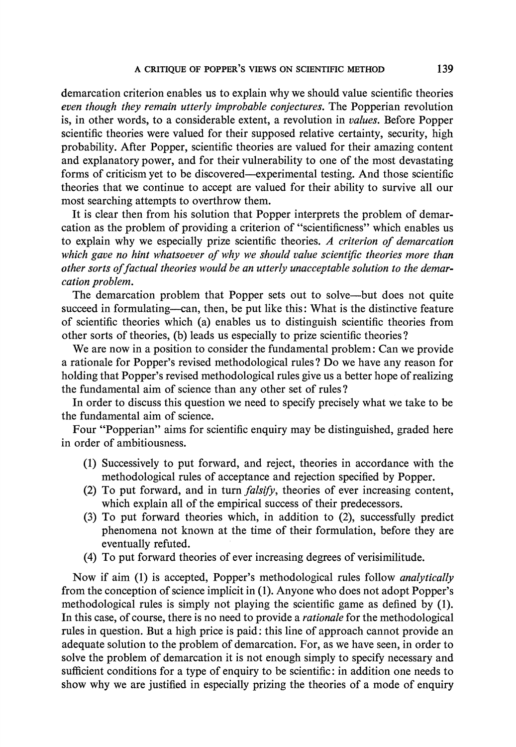**demarcation criterion enables us to explain why we should value scientific theories even though they remain utterly improbable conjectures. The Popperian revolution is, in other words, to a considerable extent, a revolution in values. Before Popper scientific theories were valued for their supposed relative certainty, security, high probability. After Popper, scientific theories are valued for their amazing content and explanatory power, and for their vulnerability to one of the most devastating forms of criticism yet to be discovered-experimental testing. And those scientific theories that we continue to accept are valued for their ability to survive all our most searching attempts to overthrow them.** 

**It is clear then from his solution that Popper interprets the problem of demarcation as the problem of providing a criterion of "scientificness" which enables us to explain why we especially prize scientific theories. A criterion of demarcation which gave no hint whatsoever of why we should value scientific theories more than**  other sorts of factual theories would be an utterly unacceptable solution to the demar**cation problem.** 

**The demarcation problem that Popper sets out to solve-but does not quite succeed in formulating-can, then, be put like this: What is the distinctive feature of scientific theories which (a) enables us to distinguish scientific theories from other sorts of theories, (b) leads us especially to prize scientific theories?** 

**We are now in a position to consider the fundamental problem: Can we provide a rationale for Popper's revised methodological rules? Do we have any reason for holding that Popper's revised methodological rules give us a better hope of realizing the fundamental aim of science than any other set of rules?** 

**In order to discuss this question we need to specify precisely what we take to be the fundamental aim of science.** 

**Four "Popperian" aims for scientific enquiry may be distinguished, graded here in order of ambitiousness.** 

- **(1) Successively to put forward, and reject, theories in accordance with the methodological rules of acceptance and rejection specified by Popper.**
- **(2) To put forward, and in turn falsify, theories of ever increasing content, which explain all of the empirical success of their predecessors.**
- **(3) To put forward theories which, in addition to (2), successfully predict phenomena not known at the time of their formulation, before they are eventually refuted.**
- **(4) To put forward theories of ever increasing degrees of verisimilitude.**

**Now if aim (1) is accepted, Popper's methodological rules follow analytically from the conception of science implicit in (1). Anyone who does not adopt Popper's methodological rules is simply not playing the scientific game as defined by (1). In this case, of course, there is no need to provide a rationale for the methodological rules in question. But a high price is paid: this line of approach cannot provide an adequate solution to the problem of demarcation. For, as we have seen, in order to solve the problem of demarcation it is not enough simply to specify necessary and sufficient conditions for a type of enquiry to be scientific: in addition one needs to show why we are justified in especially prizing the theories of a mode of enquiry**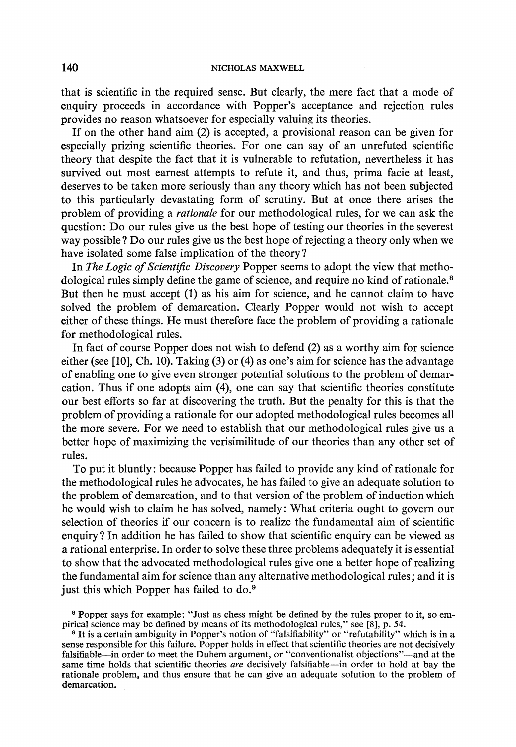**that is scientific in the required sense. But clearly, the mere fact that a mode of enquiry proceeds in accordance with Popper's acceptance and rejection rules provides no reason whatsoever for especially valuing its theories.** 

**If on the other hand aim (2) is accepted, a provisional reason can be given for especially prizing scientific theories. For one can say of an unrefuted scientific theory that despite the fact that it is vulnerable to refutation, nevertheless it has survived out most earnest attempts to refute it, and thus, prima facie at least, deserves to be taken more seriously than any theory which has not been subjected to this particularly devastating form of scrutiny. But at once there arises the problem of providing a rationale for our methodological rules, for we can ask the question: Do our rules give us the best hope of testing our theories in the severest way possible ? Do our rules give us the best hope of rejecting a theory only when we have isolated some false implication of the theory?** 

**In The Logic of Scientific Discovery Popper seems to adopt the view that methodological rules simply define the game of science, and require no kind of rationale.8 But then he must accept (1) as his aim for science, and he cannot claim to have solved the problem of demarcation. Clearly Popper would not wish to accept either of these things. He must therefore face the problem of providing a rationale for methodological rules.** 

**In fact of course Popper does not wish to defend (2) as a worthy aim for science either (see [10], Ch. 10). Taking (3) or (4) as one's aim for science has the advantage of enabling one to give even stronger potential solutions to the problem of demarcation. Thus if one adopts aim (4), one can say that scientific theories constitute our best efforts so far at discovering the truth. But the penalty for this is that the problem of providing a rationale for our adopted methodological rules becomes all the more severe. For we need to establish that our methodological rules give us a better hope of maximizing the verisimilitude of our theories than any other set of rules.** 

**To put it bluntly: because Popper has failed to provide any kind of rationale for the methodological rules he advocates, he has failed to give an adequate solution to the problem of demarcation, and to that version of the problem of induction which he would wish to claim he has solved, namely: What criteria ought to govern our selection of theories if our concern is to realize the fundamental aim of scientific enquiry? In addition he has failed to show that scientific enquiry can be viewed as a rational enterprise. In order to solve these three problems adequately it is essential to show that the advocated methodological rules give one a better hope of realizing the fundamental aim for science than any alternative methodological rules; and it is just this which Popper has failed to do.9** 

**<sup>8</sup> Popper says for example: "Just as chess might be defined by the rules proper to it, so empirical science may be defined by means of its methodological rules," see [8], p. 54. 9 It is a certain ambiguity in Popper's notion of "falsifiability" or "refutability" which is in a** 

**sense responsible for this failure. Popper holds in effect that scientific theories are not decisively falsifiable-in order to meet the Duhem argument, or "conventionalist objections"-and at the same time holds that scientific theories are decisively falsifiable-in order to hold at bay the rationale problem, and thus ensure that he can give an adequate solution to the problem of demarcation.**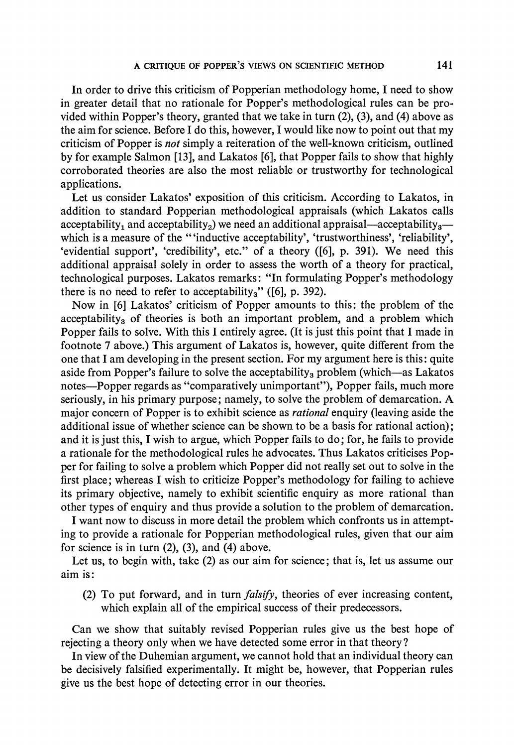**In order to drive this criticism of Popperian methodology home, I need to show in greater detail that no rationale for Popper's methodological rules can be provided within Popper's theory, granted that we take in turn (2), (3), and (4) above as the aim for science. Before I do this, however, I would like now to point out that my criticism of Popper is not simply a reiteration of the well-known criticism, outlined by for example Salmon [13], and Lakatos [6], that Popper fails to show that highly corroborated theories are also the most reliable or trustworthy for technological applications.** 

**Let us consider Lakatos' exposition of this criticism. According to Lakatos, in addition to standard Popperian methodological appraisals (which Lakatos calls**   $acceptability_1$  and  $acceptability_2$ ) we need an additional appraisal—acceptability<sub>3</sub> **which is a measure of the "'inductive acceptability', 'trustworthiness', 'reliability', 'evidential support', 'credibility', etc." of a theory ([6], p. 391). We need this additional appraisal solely in order to assess the worth of a theory for practical, technological purposes. Lakatos remarks: "In formulating Popper's methodology**  there is no need to refer to acceptability<sub>3</sub>" ([6], p. 392).

**Now in [6] Lakatos' criticism of Popper amounts to this: the problem of the**  acceptability<sub>3</sub> of theories is both an important problem, and a problem which **Popper fails to solve. With this I entirely agree. (It is just this point that I made in footnote 7 above.) This argument of Lakatos is, however, quite different from the one that I am developing in the present section. For my argument here is this: quite**  aside from Popper's failure to solve the acceptability<sub>3</sub> problem (which—as Lakatos **notes-Popper regards as "comparatively unimportant"), Popper fails, much more seriously, in his primary purpose; namely, to solve the problem of demarcation. A major concern of Popper is to exhibit science as rational enquiry (leaving aside the additional issue of whether science can be shown to be a basis for rational action); and it is just this, I wish to argue, which Popper fails to do; for, he fails to provide a rationale for the methodological rules he advocates. Thus Lakatos criticises Popper for failing to solve a problem which Popper did not really set out to solve in the first place; whereas I wish to criticize Popper's methodology for failing to achieve its primary objective, namely to exhibit scientific enquiry as more rational than other types of enquiry and thus provide a solution to the problem of demarcation.** 

**I want now to discuss in more detail the problem which confronts us in attempting to provide a rationale for Popperian methodological rules, given that our aim for science is in turn (2), (3), and (4) above.** 

Let us, to begin with, take (2) as our aim for science; that is, let us assume our **aim is:** 

**(2) To put forward, and in turn falsify, theories of ever increasing content, which explain all of the empirical success of their predecessors.** 

**Can we show that suitably revised Popperian rules give us the best hope of rejecting a theory only when we have detected some error in that theory?** 

**In view of the Duhemian argument, we cannot hold that an individual theory can be decisively falsified experimentally. It might be, however, that Popperian rules give us the best hope of detecting error in our theories.**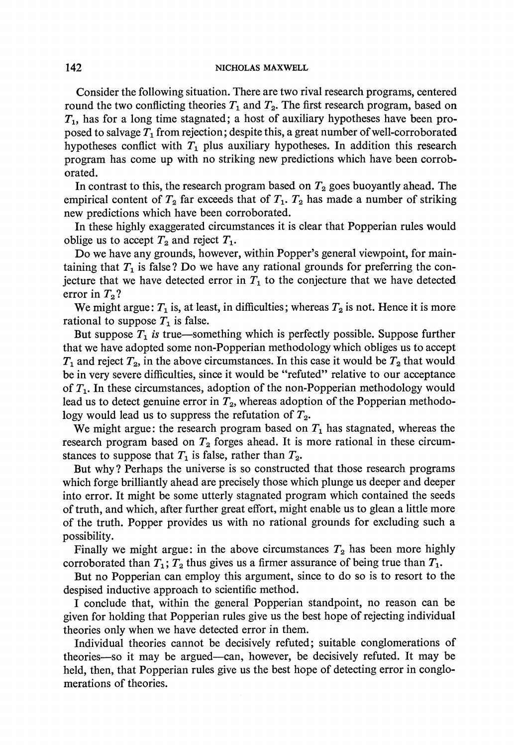**Consider the following situation. There are two rival research programs, centered**  round the two conflicting theories  $T_1$  and  $T_2$ . The first research program, based on **T1, has for a long time stagnated; a host of auxiliary hypotheses have been pro**posed to salvage  $T_1$  from rejection; despite this, a great number of well-corroborated hypotheses conflict with  $T_1$  plus auxiliary hypotheses. In addition this research **program has come up with no striking new predictions which have been corroborated.** 

In contrast to this, the research program based on  $T_2$  goes buoyantly ahead. The empirical content of  $T_2$  far exceeds that of  $T_1$ .  $T_2$  has made a number of striking **new predictions which have been corroborated.** 

**In these highly exaggerated circumstances it is clear that Popperian rules would**  oblige us to accept  $T_2$  and reject  $T_1$ .

**Do we have any grounds, however, within Popper's general viewpoint, for main**taining that  $T_1$  is false? Do we have any rational grounds for preferring the conjecture that we have detected error in  $T_1$  to the conjecture that we have detected error in  $T_2$ ?

We might argue:  $T_1$  is, at least, in difficulties; whereas  $T_2$  is not. Hence it is more rational to suppose  $T_1$  is false.

But suppose  $T_1$  is true—something which is perfectly possible. Suppose further **that we have adopted some non-Popperian methodology which obliges us to accept**   $T_1$  and reject  $T_2$ , in the above circumstances. In this case it would be  $T_2$  that would **be in very severe difficulties, since it would be "refuted" relative to our acceptance of T1. In these circumstances, adoption of the non-Popperian methodology would**  lead us to detect genuine error in  $T_2$ , whereas adoption of the Popperian methodology would lead us to suppress the refutation of  $T_2$ .

We might argue: the research program based on  $T_1$  has stagnated, whereas the research program based on  $T_2$  forges ahead. It is more rational in these circumstances to suppose that  $T_1$  is false, rather than  $T_2$ .

**But why? Perhaps the universe is so constructed that those research programs which forge brilliantly ahead are precisely those which plunge us deeper and deeper into error. It might be some utterly stagnated program which contained the seeds of truth, and which, after further great effort, might enable us to glean a little more of the truth. Popper provides us with no rational grounds for excluding such a possibility.** 

**Finally we might argue: in the above circumstances**  $T_2$  **has been more highly** corroborated than  $T_1$ ;  $T_2$  thus gives us a firmer assurance of being true than  $T_1$ .

**But no Popperian can employ this argument, since to do so is to resort to the despised inductive approach to scientific method.** 

**I conclude that, within the general Popperian standpoint, no reason can be given for holding that Popperian rules give us the best hope of rejecting individual theories only when we have detected error in them.** 

**Individual theories cannot be decisively refuted; suitable conglomerations of theories-so it may be argued-can, however, be decisively refuted. It may be held, then, that Popperian rules give us the best hope of detecting error in conglomerations of theories.**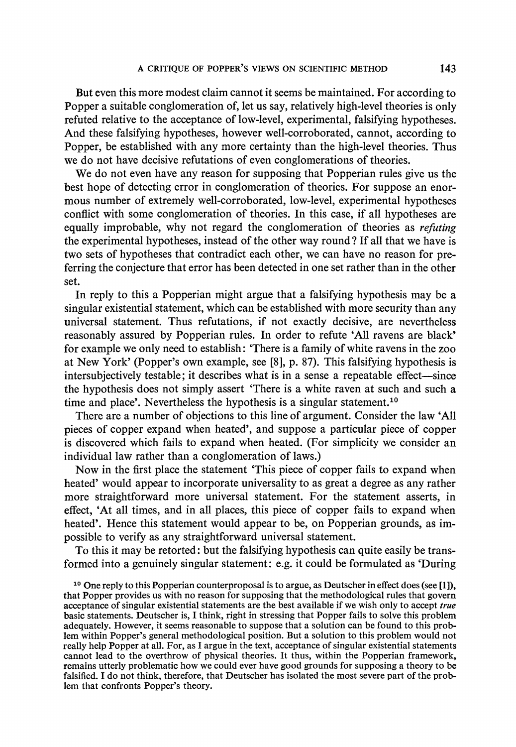**But even this more modest claim cannot it seems be maintained. For according to Popper a suitable conglomeration of, let us say, relatively high-level theories is only refuted relative to the acceptance of low-level, experimental, falsifying hypotheses. And these falsifying hypotheses, however well-corroborated, cannot, according to Popper, be established with any more certainty than the high-level theories. Thus we do not have decisive refutations of even conglomerations of theories.** 

**We do not even have any reason for supposing that Popperian rules give us the best hope of detecting error in conglomeration of theories. For suppose an enormous number of extremely well-corroborated, low-level, experimental hypotheses conflict with some conglomeration of theories. In this case, if all hypotheses are equally improbable, why not regard the conglomeration of theories as refuting the experimental hypotheses, instead of the other way round? If all that we have is two sets of hypotheses that contradict each other, we can have no reason for preferring the conjecture that error has been detected in one set rather than in the other set.** 

**In reply to this a Popperian might argue that a falsifying hypothesis may be a singular existential statement, which can be established with more security than any universal statement. Thus refutations, if not exactly decisive, are nevertheless reasonably assured by Popperian rules. In order to refute 'All ravens are black' for example we only need to establish: 'There is a family of white ravens in the zoo at New York' (Popper's own example, see [8], p. 87). This falsifying hypothesis is intersubjectively testable; it describes what is in a sense a repeatable effect-since the hypothesis does not simply assert 'There is a white raven at such and such a time and place'. Nevertheless the hypothesis is a singular statement.'0** 

**There are a number of objections to this line of argument. Consider the law 'All pieces of copper expand when heated', and suppose a particular piece of copper is discovered which fails to expand when heated. (For simplicity we consider an individual law rather than a conglomeration of laws.)** 

**Now in the first place the statement 'This piece of copper fails to expand when heated' would appear to incorporate universality to as great a degree as any rather more straightforward more universal statement. For the statement asserts, in effect, 'At all times, and in all places, this piece of copper fails to expand when heated'. Hence this statement would appear to be, on Popperian grounds, as impossible to verify as any straightforward universal statement.** 

**To this it may be retorted: but the falsifying hypothesis can quite easily be transformed into a genuinely singular statement: e.g. it could be formulated as 'During** 

**<sup>10</sup>One reply to this Popperian counterproposal is to argue, as Deutscher in effect does (see [1 ]), that Popper provides us with no reason for supposing that the methodological rules that govern acceptance of singular existential statements are the best available if we wish only to accept true basic statements. Deutscher is, I think, right in stressing that Popper fails to solve this problem adequately. However, it seems reasonable to suppose that a solution can be found to this problem within Popper's general methodological position. But a solution to this problem would not really help Popper at all. For, as I argue in the text, acceptance of singular existential statements cannot lead to the overthrow of physical theories. It thus, within the Popperian framework, remains utterly problematic how we could ever have good grounds for supposing a theory to be falsified. I do not think, therefore, that Deutscher has isolated the most severe part of the problem that confronts Popper's theory.**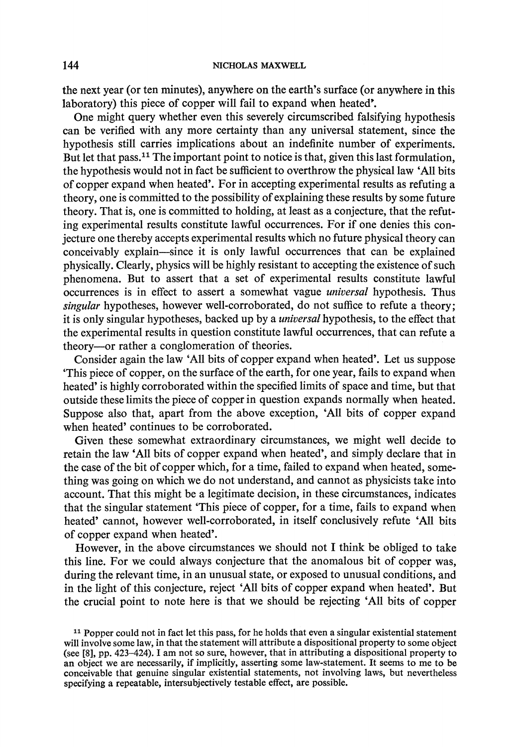**the next year (or ten minutes), anywhere on the earth's surface (or anywhere in this laboratory) this piece of copper will fail to expand when heated'.** 

**One might query whether even this severely circumscribed falsifying hypothesis can be verified with any more certainty than any universal statement, since the hypothesis still carries implications about an indefinite number of experiments. But let that pass.'1 The important point to notice is that, given this last formulation,**  the hypothesis would not in fact be sufficient to overthrow the physical law 'All bits **of copper expand when heated'. For in accepting experimental results as refuting a theory, one is committed to the possibility of explaining these results by some future theory. That is, one is committed to holding, at least as a conjecture, that the refuting experimental results constitute lawful occurrences. For if one denies this conjecture one thereby accepts experimental results which no future physical theory can conceivably explain-since it is only lawful occurrences that can be explained physically. Clearly, physics will be highly resistant to accepting the existence of such phenomena. But to assert that a set of experimental results constitute lawful occurrences is in effect to assert a somewhat vague universal hypothesis. Thus singular hypotheses, however well-corroborated, do not suffice to refute a theory; it is only singular hypotheses, backed up by a universal hypothesis, to the effect that the experimental results in question constitute lawful occurrences, that can refute a theory-or rather a conglomeration of theories.** 

**Consider again the law 'All bits of copper expand when heated'. Let us suppose 'This piece of copper, on the surface of the earth, for one year, fails to expand when heated' is highly corroborated within the specified limits of space and time, but that outside these limits the piece of copper in question expands normally when heated. Suppose also that, apart from the above exception, 'All bits of copper expand when heated' continues to be corroborated.** 

**Given these somewhat extraordinary circumstances, we might well decide to retain the law 'All bits of copper expand when heated', and simply declare that in the case of the bit of copper which, for a time, failed to expand when heated, something was going on which we do not understand, and cannot as physicists take into account. That this might be a legitimate decision, in these circumstances, indicates that the singular statement 'This piece of copper, for a time, fails to expand when heated' cannot, however well-corroborated, in itself conclusively refute 'All bits of copper expand when heated'.** 

**However, in the above circumstances we should not I think be obliged to take this line. For we could always conjecture that the anomalous bit of copper was, during the relevant time, in an unusual state, or exposed to unusual conditions, and in the light of this conjecture, reject 'All bits of copper expand when heated'. But the crucial point to note here is that we should be rejecting 'All bits of copper** 

**<sup>11</sup> Popper could not in fact let this pass, for he holds that even a singular existential statement**  will involve some law, in that the statement will attribute a dispositional property to some object **(see [8], pp. 423-424). I am not so sure, however, that in attributing a dispositional property to an object we are necessarily, if implicitly, asserting some law-statement. It seems to me to be conceivable that genuine singular existential statements, not involving laws, but nevertheless specifying a repeatable, intersubjectively testable effect, are possible.**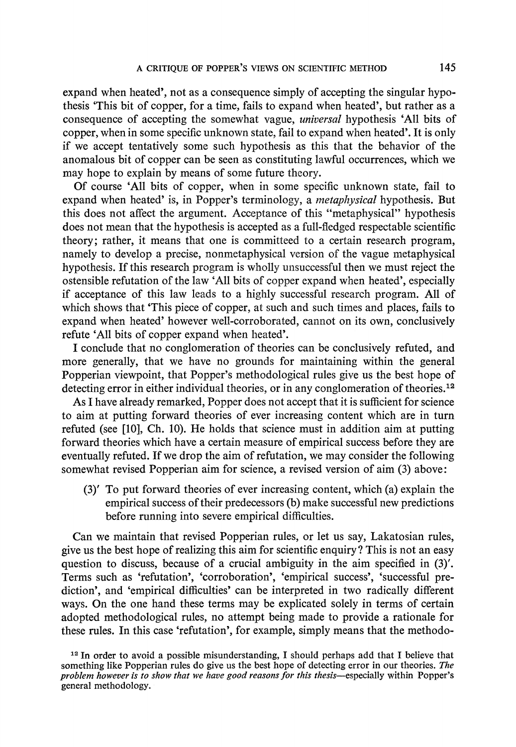**expand when heated', not as a consequence simply of accepting the singular hypothesis 'This bit of copper, for a time, fails to expand when heated', but rather as a consequence of accepting the somewhat vague, universal hypothesis 'All bits of copper, when in some specific unknown state, fail to expand when heated'. It is only if we accept tentatively some such hypothesis as this that the behavior of the anomalous bit of copper can be seen as constituting lawful occurrences, which we may hope to explain by means of some future theory.** 

**Of course 'All bits of copper, when in some specific unknown state, fail to expand when heated' is, in Popper's terminology, a metaphysical hypothesis. But this does not affect the argument. Acceptance of this "metaphysical" hypothesis does not mean that the hypothesis is accepted as a full-fledged respectable scientific theory; rather, it means that one is committeed to a certain research program, namely to develop a precise, nonmetaphysical version of the vague metaphysical hypothesis. If this research program is wholly unsuccessful then we must reject the ostensible refutation of the law 'All bits of copper expand when heated', especially if acceptance of this law leads to a highly successful research program. All of which shows that 'This piece of copper, at such and such times and places, fails to expand when heated' however well-corroborated, cannot on its own, conclusively refute 'All bits of copper expand when heated'.** 

**I conclude that no conglomeration of theories can be conclusively refuted, and more generally, that we have no grounds for maintaining within the general Popperian viewpoint, that Popper's methodological rules give us the best hope of detecting error in either individual theories, or in any conglomeration of theories.'2** 

**As I have already remarked, Popper does not accept that it is sufficient for science to aim at putting forward theories of ever increasing content which are in turn refuted (see [10], Ch. 10). He holds that science must in addition aim at putting forward theories which have a certain measure of empirical success before they are eventually refuted. If we drop the aim of refutation, we may consider the following somewhat revised Popperian aim for science, a revised version of aim (3) above:** 

**(3)' To put forward theories of ever increasing content, which (a) explain the empirical success of their predecessors (b) make successful new predictions before running into severe empirical difficulties.** 

**Can we maintain that revised Popperian rules, or let us say, Lakatosian rules, give us the best hope of realizing this aim for scientific enquiry? This is not an easy question to discuss, because of a crucial ambiguity in the aim specified in (3)'. Terms such as 'refutation', 'corroboration', 'enmpirical success', 'successful prediction', and 'empirical difficulties' can be interpreted in two radically different ways. On the one hand these terms may be explicated solely in terms of certain adopted methodological rules, no attempt being made to provide a rationale for these rules. In this case 'refutation', for example, simply means that the methodo-**

**<sup>12</sup>In order to avoid a possible misunderstanding, I should perhaps add that I believe that something like Popperian rules do give us the best hope of detecting error in our theories. The problem however is to show that we have good reasons for this thesis-especially within Popper's general methodology.**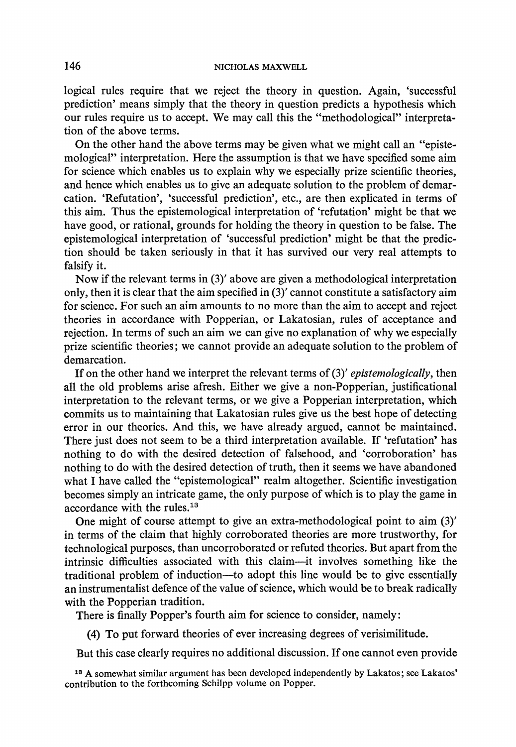**logical rules require that we reject the theory in question. Again, 'successful prediction' means simply that the theory in question predicts a hypothesis which our rules require us to accept. We may call this the "methodological" interpretation of the above terms.** 

**On the other hand the above terms may be given what we might call an "epistemological" interpretation. Here the assumption is that we have specified some aim for science which enables us to explain why we especially prize scientific theories, and hence which enables us to give an adequate solution to the problem of demarcation. 'Refutation', 'successful prediction', etc., are then explicated in terms of this aim. Thus the epistemological interpretation of 'refutation' might be that we have good, or rational, grounds for holding the theory in question to be false. The epistemological interpretation of 'successful prediction' might be that the prediction should be taken seriously in that it has survived our very real attempts to falsify it.** 

**Now if the relevant terms in (3)' above are given a methodological interpretation only, then it is clear that the aim specified in (3)' cannot constitute a satisfactory aim for science. For such an aim amounts to no more than the aim to accept and reject theories in accordance with Popperian, or Lakatosian, rules of acceptance and rejection. In terms of such an aim we can give no explanation of why we especially prize scientific theories; we cannot provide an adequate solution to the problem of demarcation.** 

**If on the other hand we interpret the relevant terms of (3)' epistemologically, then all the old problems arise afresh. Either we give a non-Popperian, justificational interpretation to the relevant terms, or we give a Popperian interpretation, which commits us to maintaining that Lakatosian rules give us the best hope of detecting error in our theories. And this, we have already argued, cannot be maintained. There just does not seem to be a third interpretation available. If 'refutation' has nothing to do with the desired detection of falsehood, and 'corroboration' has nothing to do with the desired detection of truth, then it seems we have abandoned what I have called the "epistemological" realm altogether. Scientific investigation becomes simply an intricate game, the only purpose of which is to play the game in accordance with the rules."3** 

**One might of course attempt to give an extra-methodological point to aim (3)' in terms of the claim that highly corroborated theories are more trustworthy, for technological purposes, than uncorroborated or refuted theories. But apart from the intrinsic difficulties associated with this claim-it involves something like the traditional problem of induction-to adopt this line would be to give essentially an instrumentalist defence of the value of science, which would be to break radically with the Popperian tradition.** 

**There is finally Popper's fourth aim for science to consider, namely:** 

**(4) To put forward theories of ever increasing degrees of verisimilitude.** 

**But this case clearly requires no additional discussion. If one cannot even provide** 

**<sup>13</sup>A somewhat similar argument has been developed independently by Lakatos; see Lakatos' contribution to the forthcoming Schilpp volume on Popper.**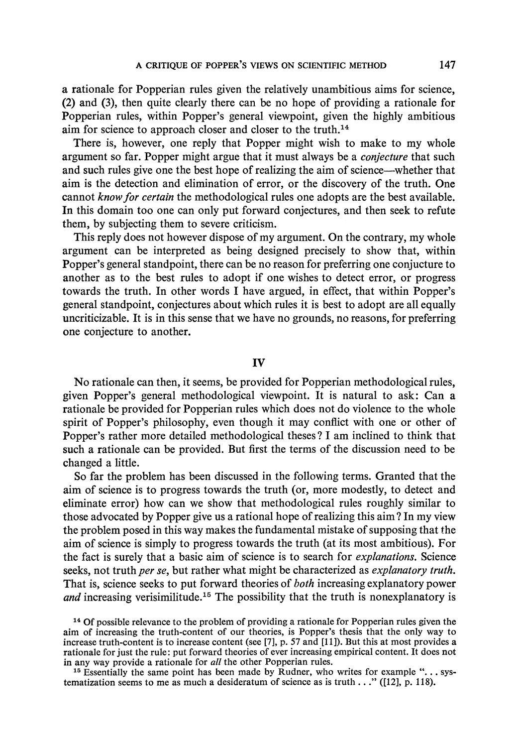**a rationale for Popperian rules given the relatively unambitious aims for science, (2) and (3), then quite clearly there can be no hope of providing a rationale for Popperian rules, within Popper's general viewpoint, given the highly ambitious aim for science to approach closer and closer to the truth.14** 

**There is, however, one reply that Popper might wish to make to my whole argument so far. Popper might argue that it must always be a conjecture that such and such rules give one the best hope of realizing the aim of science-whether that aim is the detection and elimination of error, or the discovery of the truth. One cannot know for certain the methodological rules one adopts are the best available. In this domain too one can only put forward conjectures, and then seek to refute them, by subjecting them to severe criticism.** 

**This reply does not however dispose of my argument. On the contrary, my whole argument can be interpreted as being designed precisely to show that, within Popper's general standpoint, there can be no reason for preferring one conjucture to another as to the best rules to adopt if one wishes to detect error, or progress towards the truth. In other words I have argued, in effect, that within Popper's general standpoint, conjectures about which rules it is best to adopt are all equally uncriticizable. It is in this sense that we have no grounds, no reasons, for preferring one conjecture to another.** 

# **IV**

**No rationale can then, it seems, be provided for Popperian methodological rules, given Popper's general methodological viewpoint. It is natural to ask: Can a rationale be provided for Popperian rules which does not do violence to the whole spirit of Popper's philosophy, even though it may conflict with one or other of Popper's rather more detailed methodological theses? I am inclined to think that such a rationale can be provided. But first the terms of the discussion need to be changed a little.** 

**So far the problem has been discussed in the following terms. Granted that the aim of science is to progress towards the truth (or, more modestly, to detect and eliminate error) how can we show that methodological rules roughly similar to those advocated by Popper give us a rational hope of realizing this aim? In my view the problem posed in this way makes the fundamental mistake of supposing that the aim of science is simply to progress towards the truth (at its most ambitious). For the fact is surely that a basic aim of science is to search for explanations. Science seeks, not truth per se, but rather what might be characterized as explanatory truth. That is, science seeks to put forward theories of both increasing explanatory power and increasing verisimilitude.'5 The possibility that the truth is nonexplanatory is** 

**<sup>14</sup>Of possible relevance to the problem of providing a rationale for Popperian rules given the aim of increasing the truth-content of our theories, is Popper's thesis that the only way to increase truth-content is to increase content (see [7], p. 57 and [11]). But this at most provides a rationale for just the rule: put forward theories of ever increasing empirical content. It does not in any way provide a rationale for all the other Popperian rules.** 

<sup>&</sup>lt;sup>15</sup> Essentially the same point has been made by Rudner, who writes for example "... sys**tematization seems to me as much a desideratum of science as is truth. . ." ([12], p. 118).**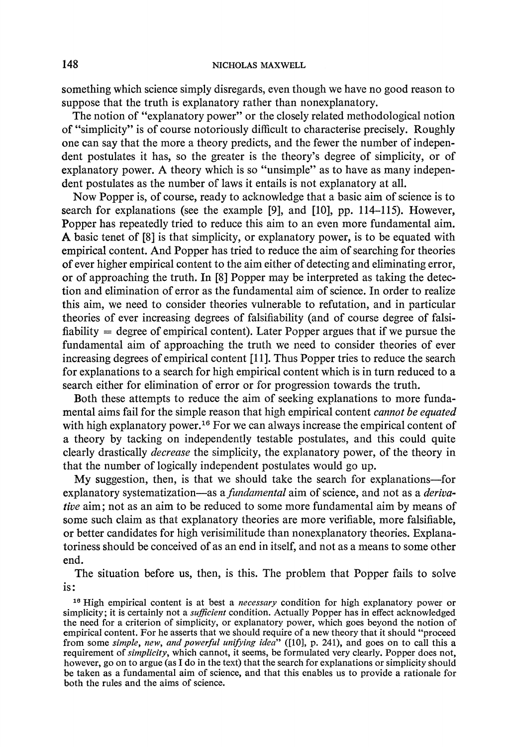**something which science simply disregards, even though we have no good reason to suppose that the truth is explanatory rather than nonexplanatory.** 

**The notion of "explanatory power" or the closely related methodological notion of "simplicity" is of course notoriously difficult to characterise precisely. Roughly one can say that the more a theory predicts, and the fewer the number of independent postulates it has, so the greater is the theory's degree of simplicity, or of explanatory power. A theory which is so "unsimple" as to have as many independent postulates as the number of laws it entails is not explanatory at all.** 

**Now Popper is, of course, ready to acknowledge that a basic aim of science is to search for explanations (see the example [9], and [10], pp. 114-115). However, Popper has repeatedly tried to reduce this aim to an even more fundamental aim. A basic tenet of [8] is that simplicity, or explanatory power, is to be equated with empirical content. And Popper has tried to reduce the aim of searching for theories of ever higher empirical content to the aim either of detecting and eliminating error, or of approaching the truth. In [8] Popper may be interpreted as taking the detection and elimination of error as the fundamental aim of science. In order to realize this aim, we need to consider theories vulnerable to refutation, and in particular theories of ever increasing degrees of falsifiability (and of course degree of falsifiability = degree of empirical content). Later Popper argues that if we pursue the fundamental aim of approaching the truth we need to consider theories of ever increasing degrees of empirical content [11]. Thus Popper tries to reduce the search for explanations to a search for high empirical content which is in turn reduced to a search either for elimination of error or for progression towards the truth.** 

**Both these attempts to reduce the aim of seeking explanations to more fundamental aims fail for the simple reason that high empirical content cannot be equated with high explanatory power.16 For we can always increase the empirical content of a theory by tacking on independently testable postulates, and this could quite clearly drastically decrease the simplicity, the explanatory power, of the theory in that the number of logically independent postulates would go up.** 

**My suggestion, then, is that we should take the search for explanations-for**  explanatory systematization—as a *fundamental* aim of science, and not as a *deriva***tive aim; not as an aim to be reduced to some more fundamental aim by means of some such claim as that explanatory theories are more verifiable, more falsifiable, or better candidates for high verisimilitude than nonexplanatory theories. Explanatoriness should be conceived of as an end in itself, and not as a means to some other end.** 

**The situation before us, then, is this. The problem that Popper fails to solve is:** 

<sup>&</sup>lt;sup>16</sup> High empirical content is at best a *necessary* condition for high explanatory power or **simplicity; it is certainly not a sufficient condition. Actually Popper has in effect acknowledged the need for a criterion of simplicity, or explanatory power, which goes beyond the notion of empirical content. For he asserts that we should require of a new theory that it should "proceed from some simple, new, and powerful unifying idea" ([10], p. 241), and goes on to call this a requirement of simplicity, which cannot, it seems, be formulated very clearly. Popper does not, however, go on to argue (as I do in the text) that the search for explanations or simplicity should be taken as a fundamental aim of science, and that this enables us to provide a rationale for both the rules and the aims of science.**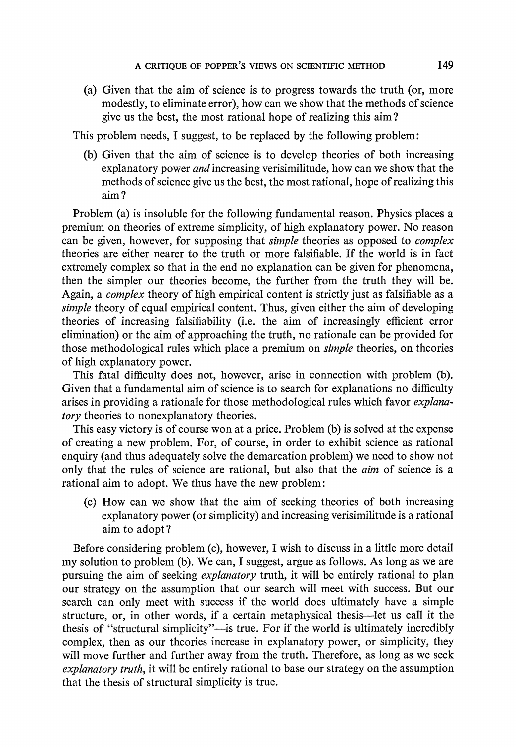**(a) Given that the aim of science is to progress towards the truth (or, more modestly, to eliminate error), how can we show that the methods of science give us the best, the most rational hope of realizing this aim?** 

**This problem needs, I suggest, to be replaced by the following problem:** 

**(b) Given that the aim of science is to develop theories of both increasing explanatory power and increasing verisimilitude, how can we show that the methods of science give us the best, the most rational, hope of realizing this aim?** 

**Problem (a) is insoluble for the following fundamental reason. Physics places a premium on theories of extreme simplicity, of high explanatory power. No reason can be given, however, for supposing that simple theories as opposed to complex theories are either nearer to the truth or more falsifiable. If the world is in fact extremely complex so that in the end no explanation can be given for phenomena, then the simpler our theories become, the further from the truth they will be. Again, a complex theory of high empirical content is strictly just as falsifiable as a simple theory of equal empirical content. Thus, given either the aim of developing theories of increasing falsifiability (i.e. the aim of increasingly efficient error elimination) or the aim of approaching the truth, no rationale can be provided for those methodological rules which place a premium on simple theories, on theories of high explanatory power.** 

**This fatal difficulty does not, however, arise in connection with problem (b). Given that a fundamental aim of science is to search for explanations no difficulty arises in providing a rationale for those methodological rules which favor explanatory theories to nonexplanatory theories.** 

**This easy victory is of course won at a price. Problem (b) is solved at the expense of creating a new problem. For, of course, in order to exhibit science as rational enquiry (and thus adequately solve the demarcation problem) we need to show not only that the rules of science are rational, but also that the aim of science is a rational aim to adopt. We thus have the new problem:** 

**(c) How can we show that the aim of seeking theories of both increasing explanatory power (or simplicity) and increasing verisimilitude is a rational aim to adopt?** 

**Before considering problem (c), however, I wish to discuss in a little more detail my solution to problem (b). We can, I suggest, argue as follows. As long as we are pursuing the aim of seeking explanatory truth, it will be entirely rational to plan our strategy on the assumption that our search will meet with success. But our search can only meet with success if the world does ultimately have a simple structure, or, in other words, if a certain metaphysical thesis-let us call it the thesis of "structural simplicity"-is true. For if the world is ultimately incredibly complex, then as our theories increase in explanatory power, or simplicity, they will move further and further away from the truth. Therefore, as long as we seek explanatory truth, it will be entirely rational to base our strategy on the assumption that the thesis of structural simplicity is true.**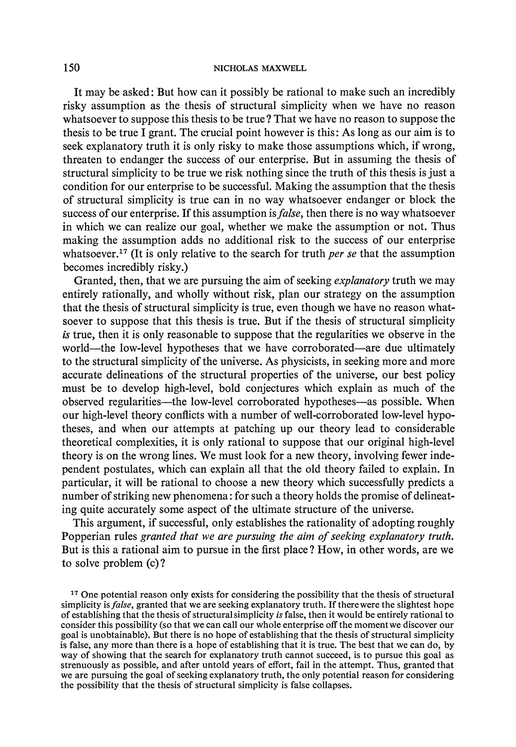**It may be asked: But how can it possibly be rational to make such an incredibly risky assumption as the thesis of structural simplicity when we have no reason whatsoever to suppose this thesis to be true? That we have no reason to suppose the thesis to be true I grant. The crucial point however is this: As long as our aim is to seek explanatory truth it is only risky to make those assumptions which, if wrong, threaten to endanger the success of our enterprise. But in assuming the thesis of structural simplicity to be true we risk nothing since the truth of this thesis is just a condition for our enterprise to be successful. Making the assumption that the thesis of structural simplicity is true can in no way whatsoever endanger or block the**  success of our enterprise. If this assumption is *false*, then there is no way whatsoever **in which we can realize our goal, whether we make the assumption or not. Thus making the assumption adds no additional risk to the success of our enterprise**  whatsoever.<sup>17</sup> (It is only relative to the search for truth *per se* that the assumption **becomes incredibly risky.)** 

**Granted, then, that we are pursuing the aim of seeking explanatory truth we may entirely rationally, and wholly without risk, plan our strategy on the assumption that the thesis of structural simplicity is true, even though we have no reason whatsoever to suppose that this thesis is true. But if the thesis of structural simplicity is true, then it is only reasonable to suppose that the regularities we observe in the world-the low-level hypotheses that we have corroborated-are due ultimately to the structural simplicity of the universe. As physicists, in seeking more and more accurate delineations of the structural properties of the universe, our best policy must be to develop high-level, bold conjectures which explain as much of the observed regularities-the low-level corroborated hypotheses-as possible. When our high-level theory conflicts with a number of well-corroborated low-level hypotheses, and when our attempts at patching up our theory lead to considerable theoretical complexities, it is only rational to suppose that our original high-level theory is on the wrong lines. We must look for a new theory, involving fewer independent postulates, which can explain all that the old theory failed to explain. In particular, it will be rational to choose a new theory which successfully predicts a number of striking new phenomena: for such a theory holds the promise of delineating quite accurately some aspect of the ultimate structure of the universe.** 

**This argument, if successful, only establishes the rationality of adopting roughly Popperian rules granted that we are pursuing the aim of seeking explanatory truth. But is this a rational aim to pursue in the first place? How, in other words, are we to solve problem (c)?** 

**<sup>17</sup>One potential reason only exists for considering the possibility that the thesis of structural simplicity is false, granted that we are seeking explanatory truth. If therewere the slightest hope of establishing that the thesis of structural simplicity is false, then it would be entirely rational to consider this possibility (so that we can call our whole enterprise off the moment we discover our goal is unobtainable). But there is no hope of establishing that the thesis of structural simplicity is false, any more than there is a hope of establishing that it is true. The best that we can do, by way of showing that the search for explanatory truth cannot succeed, is to pursue this goal as strenuously as possible, and after untold years of effort, fail in the attempt. Thus, granted that we are pursuing the goal of seeking explanatory truth, the only potential reason for considering the possibility that the thesis of structural simplicity is false collapses.**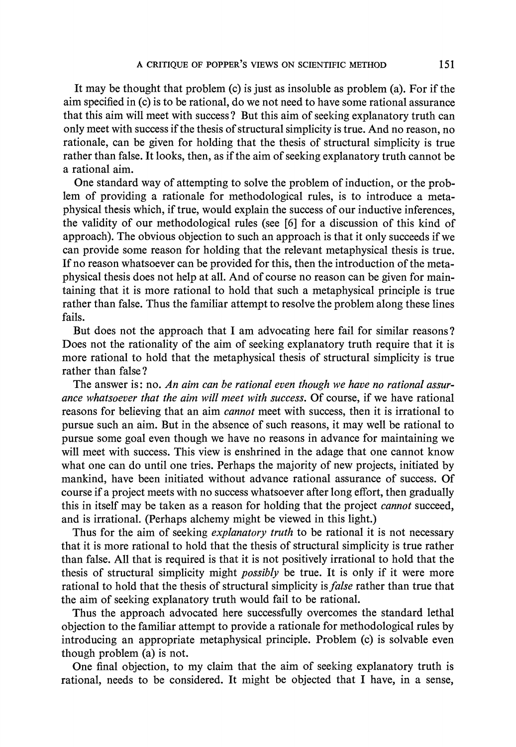**It may be thought that problem (c) is just as insoluble as problem (a). For if the aim specified in (c) is to be rational, do we not need to have some rational assurance that this aim will meet with success? But this aim of seeking explanatory truth can only meet with success if the thesis of structural simplicity is true. And no reason, no rationale, can be given for holding that the thesis of structural simplicity is true rather than false. It looks, then, as if the aim of seeking explanatory truth cannot be a rational aim.** 

**One standard way of attempting to solve the problem of induction, or the problem of providing a rationale for methodological rules, is to introduce a metaphysical thesis which, if true, would explain the success of our inductive inferences, the validity of our methodological rules (see [6] for a discussion of this kind of approach). The obvious objection to such an approach is that it only succeeds if we can provide some reason for holding that the relevant metaphysical thesis is true. If no reason whatsoever can be provided for this, then the introduction of the metaphysical thesis does not help at all. And of course no reason can be given for maintaining that it is more rational to hold that such a metaphysical principle is true rather than false. Thus the familiar attempt to resolve the problem along these lines fails.** 

**But does not the approach that I am advocating here fail for similar reasons? Does not the rationality of the aim of seeking explanatory truth require that it is more rational to hold that the metaphysical thesis of structural simplicity is true rather than false?** 

**The answer is: no. An aim can be rational even though we have no rational assurance whatsoever that the aim will meet with success. Of course, if we have rational reasons for believing that an aim cannot meet with success, then it is irrational to pursue such an aim. But in the absence of such reasons, it may well be rational to pursue some goal even though we have no reasons in advance for maintaining we will meet with success. This view is enshrined in the adage that one cannot know what one can do until one tries. Perhaps the majority of new projects, initiated by mankind, have been initiated without advance rational assurance of success. Of course if a project meets with no success whatsoever after long effort, then gradually this in itself may be taken as a reason for holding that the project cannot succeed, and is irrational. (Perhaps alchemy might be viewed in this light.)** 

**Thus for the aim of seeking explanatory truth to be rational it is not necessary that it is more rational to hold that the thesis of structural simplicity is true rather than false. All that is required is that it is not positively irrational to hold that the thesis of structural simplicity might possibly be true. It is only if it were more rational to hold that the thesis of structural simplicity is false rather than true that the aim of seeking explanatory truth would fail to be rational.** 

**Thus the approach advocated here successfully overcomes the standard lethal objection to the familiar attempt to provide a rationale for methodological rules by introducing an appropriate metaphysical principle. Problem (c) is solvable even though problem (a) is not.** 

**One final objection, to my claim that the aim of seeking explanatory truth is rational, needs to be considered. It might be objected that I have, in a sense,**